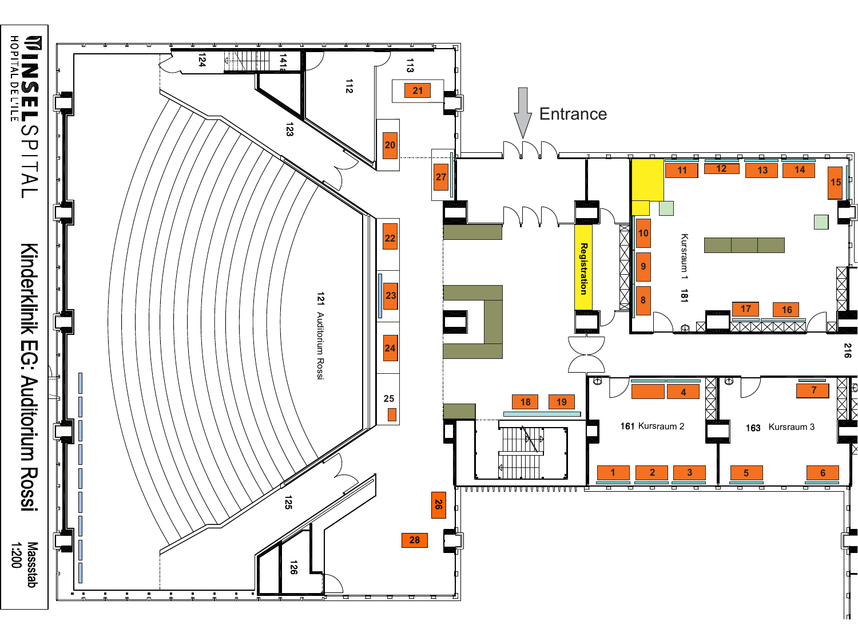